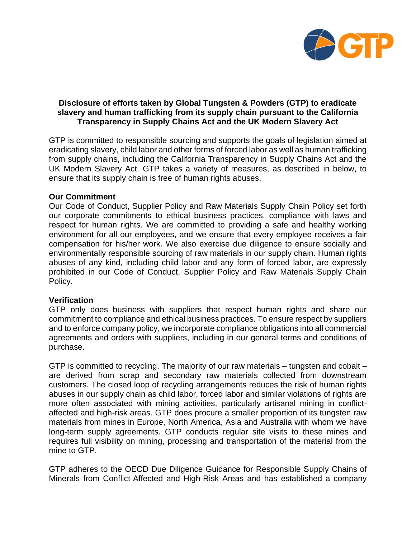

# **Disclosure of efforts taken by Global Tungsten & Powders (GTP) to eradicate slavery and human trafficking from its supply chain pursuant to the California Transparency in Supply Chains Act and the UK Modern Slavery Act**

GTP is committed to responsible sourcing and supports the goals of legislation aimed at eradicating slavery, child labor and other forms of forced labor as well as human trafficking from supply chains, including the California Transparency in Supply Chains Act and the UK Modern Slavery Act. GTP takes a variety of measures, as described in below, to ensure that its supply chain is free of human rights abuses.

## **Our Commitment**

Our Code of Conduct, Supplier Policy and Raw Materials Supply Chain Policy set forth our corporate commitments to ethical business practices, compliance with laws and respect for human rights. We are committed to providing a safe and healthy working environment for all our employees, and we ensure that every employee receives a fair compensation for his/her work. We also exercise due diligence to ensure socially and environmentally responsible sourcing of raw materials in our supply chain. Human rights abuses of any kind, including child labor and any form of forced labor, are expressly prohibited in our Code of Conduct, Supplier Policy and Raw Materials Supply Chain Policy.

### **Verification**

GTP only does business with suppliers that respect human rights and share our commitment to compliance and ethical business practices. To ensure respect by suppliers and to enforce company policy, we incorporate compliance obligations into all commercial agreements and orders with suppliers, including in our general terms and conditions of purchase.

GTP is committed to recycling. The majority of our raw materials – tungsten and cobalt – are derived from scrap and secondary raw materials collected from downstream customers. The closed loop of recycling arrangements reduces the risk of human rights abuses in our supply chain as child labor, forced labor and similar violations of rights are more often associated with mining activities, particularly artisanal mining in conflictaffected and high-risk areas. GTP does procure a smaller proportion of its tungsten raw materials from mines in Europe, North America, Asia and Australia with whom we have long-term supply agreements. GTP conducts regular site visits to these mines and requires full visibility on mining, processing and transportation of the material from the mine to GTP.

GTP adheres to the OECD Due Diligence Guidance for Responsible Supply Chains of Minerals from Conflict-Affected and High-Risk Areas and has established a company